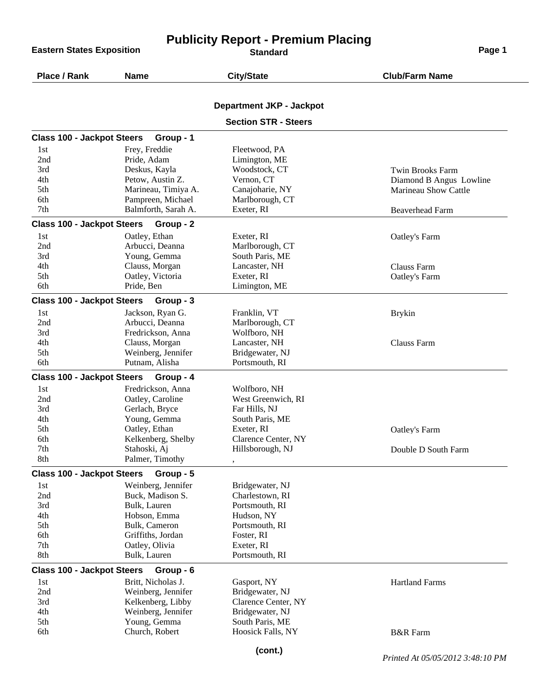**Eastern States Exposition** 

## **Publicity Report - Premium Placing**

| Place / Rank                      | <b>Name</b>                              | <b>City/State</b>               | <b>Club/Farm Name</b>            |
|-----------------------------------|------------------------------------------|---------------------------------|----------------------------------|
|                                   |                                          | <b>Department JKP - Jackpot</b> |                                  |
|                                   |                                          | <b>Section STR - Steers</b>     |                                  |
|                                   |                                          |                                 |                                  |
| <b>Class 100 - Jackpot Steers</b> | Group - 1                                |                                 |                                  |
| 1st                               | Frey, Freddie                            | Fleetwood, PA                   |                                  |
| 2nd                               | Pride, Adam                              | Limington, ME                   |                                  |
| 3rd                               | Deskus, Kayla                            | Woodstock, CT                   | <b>Twin Brooks Farm</b>          |
| 4th                               | Petow, Austin Z.                         | Vernon, CT                      | Diamond B Angus Lowline          |
| 5th                               | Marineau, Timiya A.                      | Canajoharie, NY                 | Marineau Show Cattle             |
| 6th<br>7th                        | Pampreen, Michael<br>Balmforth, Sarah A. | Marlborough, CT<br>Exeter, RI   |                                  |
|                                   |                                          |                                 | <b>Beaverhead Farm</b>           |
| <b>Class 100 - Jackpot Steers</b> | Group - 2                                |                                 |                                  |
| 1st                               | Oatley, Ethan                            | Exeter, RI                      | Oatley's Farm                    |
| 2nd                               | Arbucci, Deanna                          | Marlborough, CT                 |                                  |
| 3rd                               | Young, Gemma                             | South Paris, ME                 |                                  |
| 4th                               | Clauss, Morgan                           | Lancaster, NH                   | Clauss Farm                      |
| 5th<br>6th                        | Oatley, Victoria                         | Exeter, RI                      | Oatley's Farm                    |
|                                   | Pride, Ben                               | Limington, ME                   |                                  |
| <b>Class 100 - Jackpot Steers</b> | Group - 3                                |                                 |                                  |
| 1st                               | Jackson, Ryan G.                         | Franklin, VT                    | <b>Brykin</b>                    |
| 2nd                               | Arbucci, Deanna                          | Marlborough, CT                 |                                  |
| 3rd                               | Fredrickson, Anna                        | Wolfboro, NH                    |                                  |
| 4th                               | Clauss, Morgan                           | Lancaster, NH                   | Clauss Farm                      |
| 5th                               | Weinberg, Jennifer                       | Bridgewater, NJ                 |                                  |
| 6th                               | Putnam, Alisha                           | Portsmouth, RI                  |                                  |
| <b>Class 100 - Jackpot Steers</b> | Group - 4                                |                                 |                                  |
| 1st                               | Fredrickson, Anna                        | Wolfboro, NH                    |                                  |
| 2nd                               | Oatley, Caroline                         | West Greenwich, RI              |                                  |
| 3rd                               | Gerlach, Bryce                           | Far Hills, NJ                   |                                  |
| 4th                               | Young, Gemma                             | South Paris, ME                 |                                  |
| 5th                               | Oatley, Ethan                            | Exeter, RI                      | Oatley's Farm                    |
| 6th<br>7th                        | Kelkenberg, Shelby                       | Clarence Center, NY             |                                  |
| 8th                               | Stahoski, Aj<br>Palmer, Timothy          | Hillsborough, NJ                | Double D South Farm              |
|                                   |                                          |                                 |                                  |
| <b>Class 100 - Jackpot Steers</b> | Group - 5                                |                                 |                                  |
| 1st                               | Weinberg, Jennifer                       | Bridgewater, NJ                 |                                  |
| 2nd                               | Buck, Madison S.                         | Charlestown, RI                 |                                  |
| 3rd                               | Bulk, Lauren                             | Portsmouth, RI                  |                                  |
| 4th                               | Hobson, Emma                             | Hudson, NY                      |                                  |
| 5th<br>6th                        | Bulk, Cameron<br>Griffiths, Jordan       | Portsmouth, RI<br>Foster, RI    |                                  |
| 7th                               | Oatley, Olivia                           | Exeter, RI                      |                                  |
| 8th                               | Bulk, Lauren                             | Portsmouth, RI                  |                                  |
|                                   |                                          |                                 |                                  |
| <b>Class 100 - Jackpot Steers</b> | Group - 6                                |                                 |                                  |
| 1st                               | Britt, Nicholas J.<br>Weinberg, Jennifer | Gasport, NY<br>Bridgewater, NJ  | <b>Hartland Farms</b>            |
| 2nd<br>3rd                        | Kelkenberg, Libby                        | Clarence Center, NY             |                                  |
| 4th                               | Weinberg, Jennifer                       | Bridgewater, NJ                 |                                  |
| 5th                               | Young, Gemma                             | South Paris, ME                 |                                  |
| 6th                               | Church, Robert                           | Hoosick Falls, NY               | <b>B&amp;R</b> Farm              |
|                                   |                                          |                                 |                                  |
|                                   |                                          | (cont.)                         | Printed At 05/05/2012 3:48:10 PM |